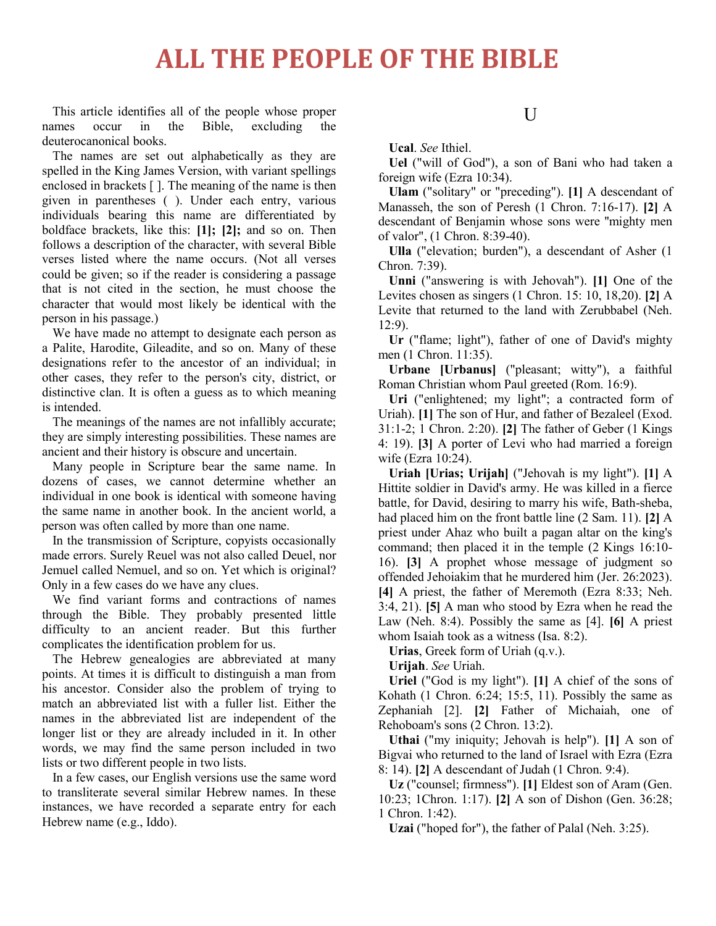## **ALL THE PEOPLE OF THE BIBLE**

This article identifies all of the people whose proper names occur in the Bible, excluding the deuterocanonical books.

The names are set out alphabetically as they are spelled in the King James Version, with variant spellings enclosed in brackets [ ]. The meaning of the name is then given in parentheses ( ). Under each entry, various individuals bearing this name are differentiated by boldface brackets, like this: **[1]; [2];** and so on. Then follows a description of the character, with several Bible verses listed where the name occurs. (Not all verses could be given; so if the reader is considering a passage that is not cited in the section, he must choose the character that would most likely be identical with the person in his passage.)

We have made no attempt to designate each person as a Palite, Harodite, Gileadite, and so on. Many of these designations refer to the ancestor of an individual; in other cases, they refer to the person's city, district, or distinctive clan. It is often a guess as to which meaning is intended.

The meanings of the names are not infallibly accurate; they are simply interesting possibilities. These names are ancient and their history is obscure and uncertain.

Many people in Scripture bear the same name. In dozens of cases, we cannot determine whether an individual in one book is identical with someone having the same name in another book. In the ancient world, a person was often called by more than one name.

In the transmission of Scripture, copyists occasionally made errors. Surely Reuel was not also called Deuel, nor Jemuel called Nemuel, and so on. Yet which is original? Only in a few cases do we have any clues.

We find variant forms and contractions of names through the Bible. They probably presented little difficulty to an ancient reader. But this further complicates the identification problem for us.

The Hebrew genealogies are abbreviated at many points. At times it is difficult to distinguish a man from his ancestor. Consider also the problem of trying to match an abbreviated list with a fuller list. Either the names in the abbreviated list are independent of the longer list or they are already included in it. In other words, we may find the same person included in two lists or two different people in two lists.

In a few cases, our English versions use the same word to transliterate several similar Hebrew names. In these instances, we have recorded a separate entry for each Hebrew name (e.g., Iddo).

#### U

**Ucal**. *See* Ithiel.

**Uel** ("will of God"), a son of Bani who had taken a foreign wife (Ezra 10:34).

**Ulam** ("solitary" or "preceding"). **[1]** A descendant of Manasseh, the son of Peresh (1 Chron. 7:16-17). **[2]** A descendant of Benjamin whose sons were ''mighty men of valor", (1 Chron. 8:39-40).

**Ulla** ("elevation; burden"), a descendant of Asher (1 Chron. 7:39).

**Unni** ("answering is with Jehovah"). **[1]** One of the Levites chosen as singers (1 Chron. 15: 10, 18,20). **[2]** A Levite that returned to the land with Zerubbabel (Neh. 12:9).

**Ur** ("flame; light"), father of one of David's mighty men (1 Chron. 11:35).

**Urbane [Urbanus]** ("pleasant; witty"), a faithful Roman Christian whom Paul greeted (Rom. 16:9).

**Uri** ("enlightened; my light"; a contracted form of Uriah). **[1]** The son of Hur, and father of Bezaleel (Exod. 31:1-2; 1 Chron. 2:20). **[2]** The father of Geber (1 Kings 4: 19). **[3]** A porter of Levi who had married a foreign wife (Ezra 10:24).

**Uriah [Urias; Urijah]** ("Jehovah is my light"). **[1]** A Hittite soldier in David's army. He was killed in a fierce battle, for David, desiring to marry his wife, Bath-sheba, had placed him on the front battle line (2 Sam. 11). **[2]** A priest under Ahaz who built a pagan altar on the king's command; then placed it in the temple (2 Kings 16:10- 16). **[3]** A prophet whose message of judgment so offended Jehoiakim that he murdered him (Jer. 26:2023). **[4]** A priest, the father of Meremoth (Ezra 8:33; Neh. 3:4, 21). **[5]** A man who stood by Ezra when he read the Law (Neh. 8:4). Possibly the same as [4]. **[6]** A priest whom Isaiah took as a witness (Isa. 8:2).

**Urias**, Greek form of Uriah (q.v.).

**Urijah**. *See* Uriah.

**Uriel** ("God is my light"). **[1]** A chief of the sons of Kohath  $(1 \text{Chron. } 6:24; 15:5, 11)$ . Possibly the same as Zephaniah [2]. **[2]** Father of Michaiah, one of Rehoboam's sons (2 Chron. 13:2).

**Uthai** ("my iniquity; Jehovah is help"). **[1]** A son of Bigvai who returned to the land of Israel with Ezra (Ezra 8: 14). **[2]** A descendant of Judah (1 Chron. 9:4).

**Uz** ("counsel; firmness"). **[1]** Eldest son of Aram (Gen. 10:23; 1Chron. 1:17). **[2]** A son of Dishon (Gen. 36:28; 1 Chron. 1:42).

**Uzai** ("hoped for"), the father of Palal (Neh. 3:25).